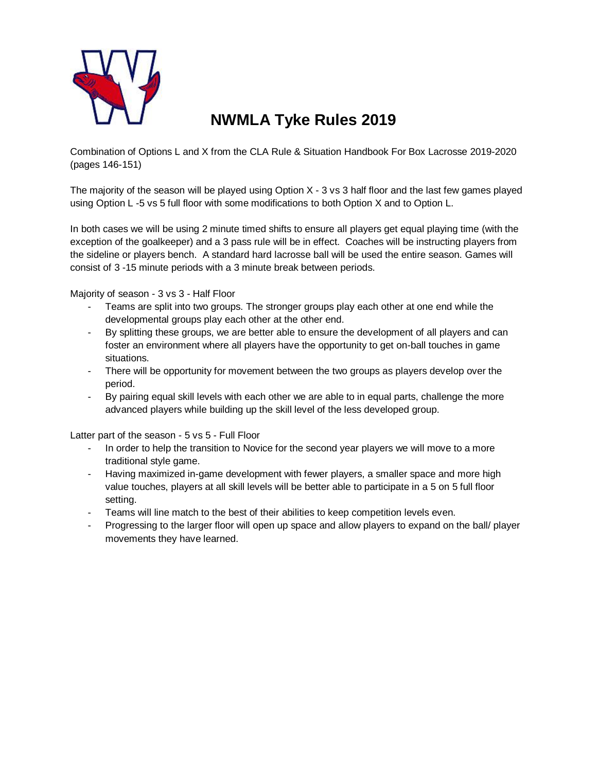

# **NWMLA Tyke Rules 2019**

Combination of Options L and X from the CLA Rule & Situation Handbook For Box Lacrosse 2019-2020 (pages 146-151)

The majority of the season will be played using Option X - 3 vs 3 half floor and the last few games played using Option L -5 vs 5 full floor with some modifications to both Option X and to Option L.

In both cases we will be using 2 minute timed shifts to ensure all players get equal playing time (with the exception of the goalkeeper) and a 3 pass rule will be in effect. Coaches will be instructing players from the sideline or players bench. A standard hard lacrosse ball will be used the entire season. Games will consist of 3 -15 minute periods with a 3 minute break between periods.

Majority of season - 3 vs 3 - Half Floor

- Teams are split into two groups. The stronger groups play each other at one end while the developmental groups play each other at the other end.
- By splitting these groups, we are better able to ensure the development of all players and can foster an environment where all players have the opportunity to get on-ball touches in game situations.
- There will be opportunity for movement between the two groups as players develop over the period.
- By pairing equal skill levels with each other we are able to in equal parts, challenge the more advanced players while building up the skill level of the less developed group.

Latter part of the season - 5 vs 5 - Full Floor

- In order to help the transition to Novice for the second year players we will move to a more traditional style game.
- Having maximized in-game development with fewer players, a smaller space and more high value touches, players at all skill levels will be better able to participate in a 5 on 5 full floor setting.
- Teams will line match to the best of their abilities to keep competition levels even.
- Progressing to the larger floor will open up space and allow players to expand on the ball/ player movements they have learned.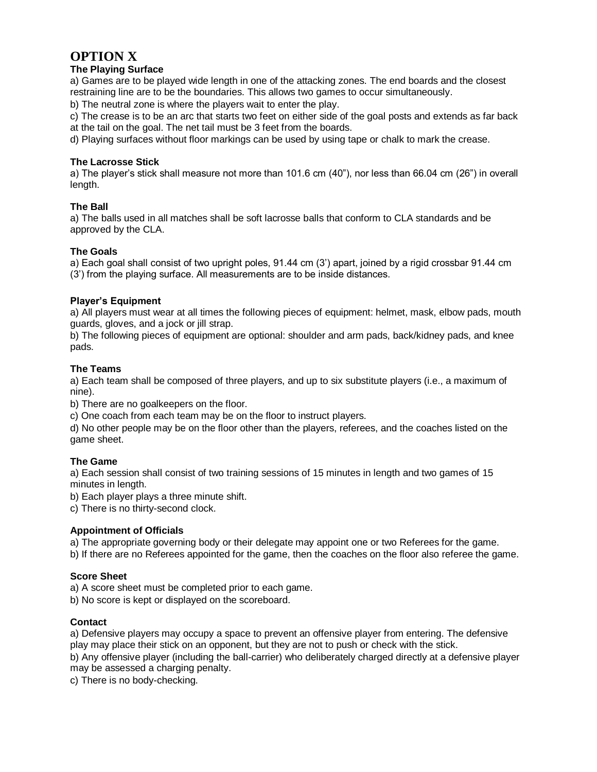## **OPTION X**

#### **The Playing Surface**

a) Games are to be played wide length in one of the attacking zones. The end boards and the closest restraining line are to be the boundaries. This allows two games to occur simultaneously.

b) The neutral zone is where the players wait to enter the play.

c) The crease is to be an arc that starts two feet on either side of the goal posts and extends as far back at the tail on the goal. The net tail must be 3 feet from the boards.

d) Playing surfaces without floor markings can be used by using tape or chalk to mark the crease.

#### **The Lacrosse Stick**

a) The player's stick shall measure not more than 101.6 cm (40"), nor less than 66.04 cm (26") in overall length.

#### **The Ball**

a) The balls used in all matches shall be soft lacrosse balls that conform to CLA standards and be approved by the CLA.

#### **The Goals**

a) Each goal shall consist of two upright poles, 91.44 cm (3') apart, joined by a rigid crossbar 91.44 cm (3') from the playing surface. All measurements are to be inside distances.

#### **Player's Equipment**

a) All players must wear at all times the following pieces of equipment: helmet, mask, elbow pads, mouth guards, gloves, and a jock or jill strap.

b) The following pieces of equipment are optional: shoulder and arm pads, back/kidney pads, and knee pads.

#### **The Teams**

a) Each team shall be composed of three players, and up to six substitute players (i.e., a maximum of nine).

b) There are no goalkeepers on the floor.

c) One coach from each team may be on the floor to instruct players.

d) No other people may be on the floor other than the players, referees, and the coaches listed on the game sheet.

#### **The Game**

a) Each session shall consist of two training sessions of 15 minutes in length and two games of 15 minutes in length.

b) Each player plays a three minute shift.

c) There is no thirty-second clock.

#### **Appointment of Officials**

a) The appropriate governing body or their delegate may appoint one or two Referees for the game.

b) If there are no Referees appointed for the game, then the coaches on the floor also referee the game.

#### **Score Sheet**

a) A score sheet must be completed prior to each game.

b) No score is kept or displayed on the scoreboard.

#### **Contact**

a) Defensive players may occupy a space to prevent an offensive player from entering. The defensive play may place their stick on an opponent, but they are not to push or check with the stick.

b) Any offensive player (including the ball-carrier) who deliberately charged directly at a defensive player may be assessed a charging penalty.

c) There is no body-checking.